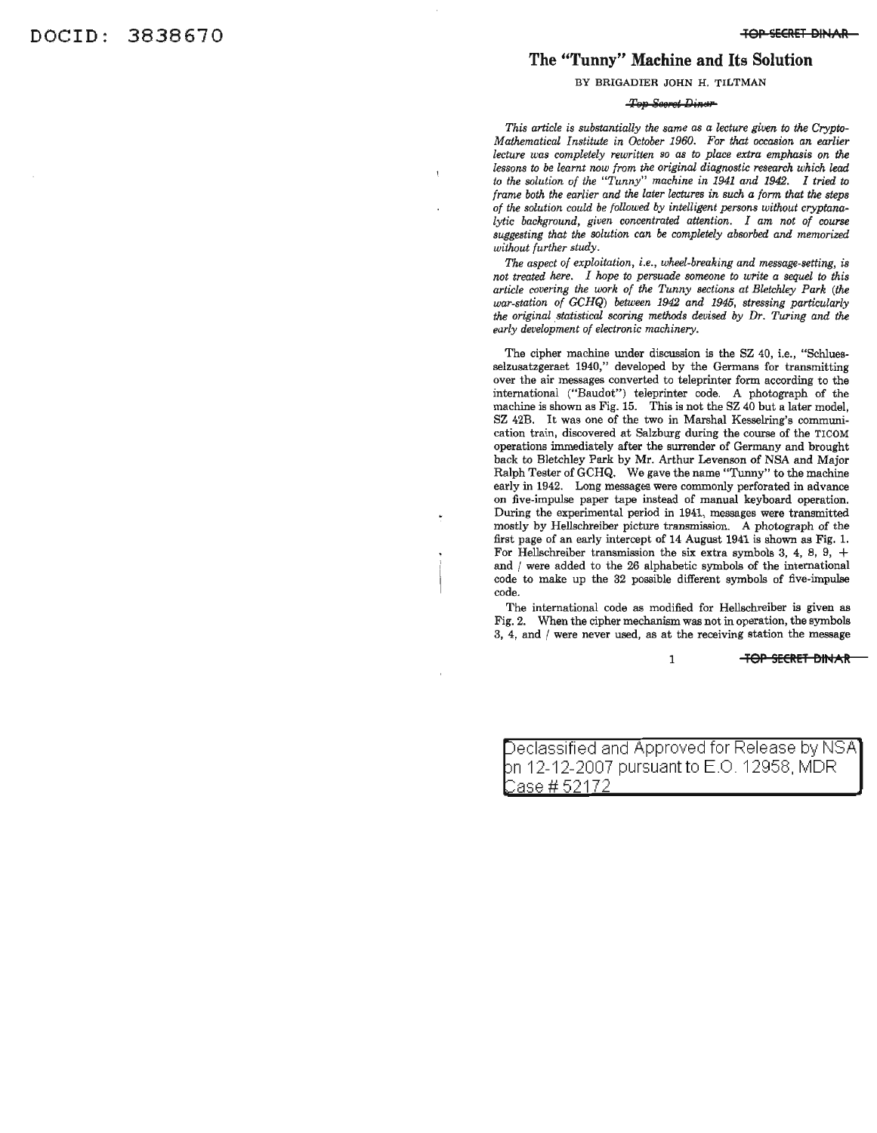#### **The "Tunny" Machine and Its Solution**

#### BY BRIGADIER JOHN H. TILTMAN

#### Top Scoret Dinar

*This article* is *substantially the same as a lecture given to the Crypto-Mathematical Institute in October 1960. For that occasion an earlier lecture was completely rewritten* so *as to place extra emphasis on the lessons to be learnt now from the original diagnostic research which lead to the solution of the "Tunny" machine in* 1941 *and* 1942. *I tried to frame both the earlier and the later lectures in such a form that the steps of the solution could be followed by intelligent persons without cryptanalytic background, given concentrated attention. I am not of course suggesting that the solution can be completely absorbed and memorized without further study.*

*The aspect of exploitation, i.e., wheel-breaking and message-setting, is not treated here. I hope to persuade someone to write a sequel to this article covering the work of the Tunny sections at Bletchley Park (the war-station of GCHQ) between* 1942 *and* 1945, *stressing particularly the original .statistical scoring methods devised by Dr. Turing and the early development of electronic machinery.*

The cipher machine under discussion is the SZ 40, i.e., "Schluesselzusatzgeraet 1940," developed by the Germans for transmitting over the air messages converted to teleprinter form according to the international ("Baudot") teleprinter code. A photograph of the machine is shown as Fig. 15. This is not the SZ 40 but a later model, SZ 42B. It was one of the two in Marshal Kesselring's communication train, discovered at Salzburg during the course of the TICOM operations immediately after the surrender of Germany and brought back to Bletchley Park by Mr. Arthur Levenson of NSA and Major Ralph Tester of GCHQ. We gave the name "Tunny" to the machine early in 1942. Long messages were commonly perforated in advance on five-impulse paper tape instead of manual keyboard operation. During the experimental period in 1941, messages were transmitted mostly by Hellschreiber picture transmission. A photograph of the first page of an early intercept of 14 August 1941 is shown as Fig. 1. mst page of an early intercept of 14 August 1941 is shown as Fig. 1.<br>For Hellschreiber transmission the six extra symbols 3, 4, 8, 9, + and I were added to the 26 alphabetic symbols of the international code to make up the 32 possible different symbols of five-impulse code.

The international code as modified for Hellschreiber is given as Fig. 2. When the cipher mechanism was not in operation, the symbols 3, 4, and / were never used, as at the receiving station the message

#### 1 **TOP SECRET BU04AR**

Jeclassified and Approved for Release by NSA bn 12-12-2007 pursuant to E.O. 12958, MDR. <u>Case # 52172</u>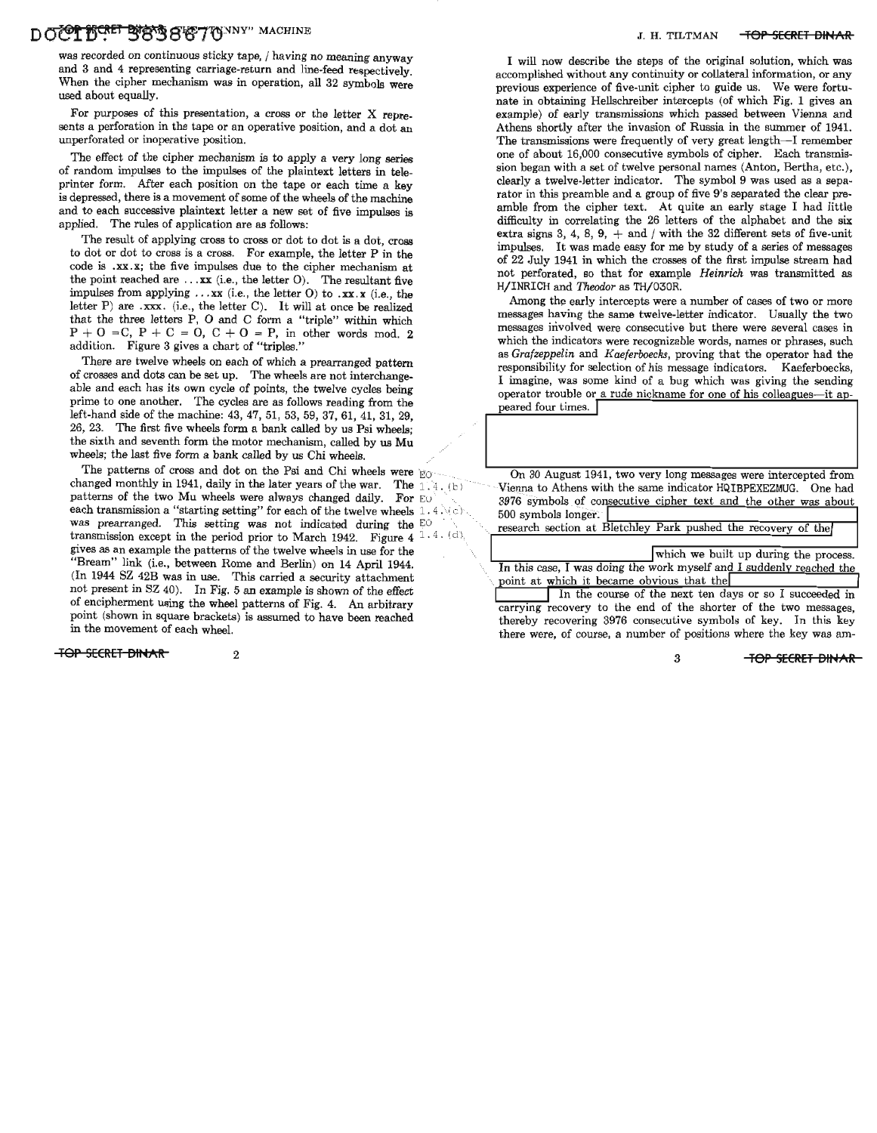### DO<sup>F</sup>CHET BOSSGET TOWNY" MACHINE **SECRET BINAR** J. H. TILTMAN **TOP SECRET BINAR**

was recorded on continuous sticky tape, / having no meaning anyway and 3 and 4 representing carriage-return and line-feed respectively. When the cipher mechanism was in operation, all 32 symbols were used about equally.

For purposes of this presentation, a cross or the letter  $X$  represents a perforation in the tape or an operative position, and a dot an unperforated or inoperative position.

The effect of the cipher mechanism is to apply a very long series of random impulses to the impulses of the plaintext letters in teleprinter form. After each position on the tape or each time a key is depressed, there is a movement of some of the wheels of the machine and to each successive plaintext letter a new set of five impulses is applied. The rules of application are as follows:

The result of applying cross to cross or dot to dot is a dot, cross to dot or dot to cross is a cross. For example, the letter P in the code is .xx.x; the five impulses due to the cipher mechanism at the point reached are  $\ldots$ xx (i.e., the letter O). The resultant five impulses from applying  $\ldots$ xx (i.e., the letter O) to  $\ldots$ xx.x (i.e., the letter P) are .xxx. (i.e., the letter C). It will at once be realized that the three letters P, 0 and C form a "triple" within which  $P + O = C$ ,  $P + C = O$ ,  $C + O = P$ , in other words mod. 2 addition. Figure 3 gives a chart of "triples."

There are twelve wheels on each of which a prearranged pattern of crosses and dots can be set up. The wheels are not interchangeable and each has its own cycle of points, the twelve cycles being prime to one another. The cycles are as follows reading from the left-hand side of the machine: 43, 47, 51, 53, 59, 37, 61, 41, 31, 29, 26, 23. The first five wheels form a bank called by us Psi wheels; the sixth and seventh form the motor mechanism, called by us Mu wheels; the last five form a bank called by us Chi wheels.

The patterns of cross and dot on the Psi and Chi wheels were  $E_{\text{CO}}$ changed monthly in 1941, daily in the later years of the war. The  $\frac{1}{4}$ . (b) patterns of the two Mu wheels were always changed daily. For EO each transmission a "starting setting" for each of the twelve wheels  $1.4 \times c$ . was prearranged. This setting was not indicated during the EO transmission except in the period prior to March 1942. Figure 4  $^{1.4. (d)}$ gives as an example the patterns of the twelve wheels in use for the "Bream" link (i.e., between Rome and Berlin) on 14 April 1944. (In 1944 SZ 42B was in use. This carried a security attachment not present in SZ 40). In Fig. 5 an example is shown of the effect of encipherment using the wheel patterns of Fig. 4. An arbitrary point (shown in square brackets) is assumed to have been reached in the movement of each wheel.

**"FOP SECRET** BIl~AR 2 3 **TOP SECRET** BIt~AR

I will now describe the steps of the original solution, which was accomplished without any continuity or collateral information, or any previous experience of five-unit cipher to guide us. We were fortunate in obtaining Hellschreiber intercepts (of which Fig. 1 gives an example) of early transmissions which passed between Vienna and Athens shortly after the invasion of Russia in the summer of 1941. The transmissions were frequently of very great length-I remember one of about 16,000 consecutive symbols of cipher. Each transmission began with a set of twelve personal names (Anton, Bertha, etc.), clearly a twelve-letter indicator. The symbol 9 was used as a separator in this preamble and a group of five 9's separated the clear preamble from the cipher text. At quite an early stage I had little difficulty in correlating the 26 letters of the alphabet and the six extra signs 3, 4, 8, 9,  $+$  and / with the 32 different sets of five-unit impulses. It was made easy for me by study of a series of messages of 22 July 1941 in which the crosses of the first impulse stream had not perforated, so that for example *Heinrich* was transmitted as H/INRICH and *Theodor* as TH/030R.

Among the early intercepts were a number of cases of two or more messages having the same twelve-letter indicator. Usually the two messages involved were consecutive but there were several cases in which the indicators were recognizable words, names or phrases, such as *Gratzeppelin* and *Kaeferboecks,* proving that the operator had the responsibility for selection of his message indicators. Kaeferboecks, I imagine, was some kind of a bug which was giving the sending operator trouble or a rude nickname for one of his colleagues-it appeared four times.**J**

On 30 August 1941, two very long messages were intercepted from Vienna to Athens with the same indicator HQIBPEXEZMUG. One had 3976 symbols of consecutive cipher text and the other was about 500 symbols longer:  $\frac{1}{100}$  research section at Bletchley Park pushed the recovery of the

which we built up during the process. In this case, I was doing the work myself and I suddenly reached the point at which it became obvious that the

In the course of the next ten days or so I succeeded in carrying recovery to the end of the shorter of the two messages, thereby recovering 3976 consecutive symbols of key. In this key there were, of course, a number of positions where the key was am-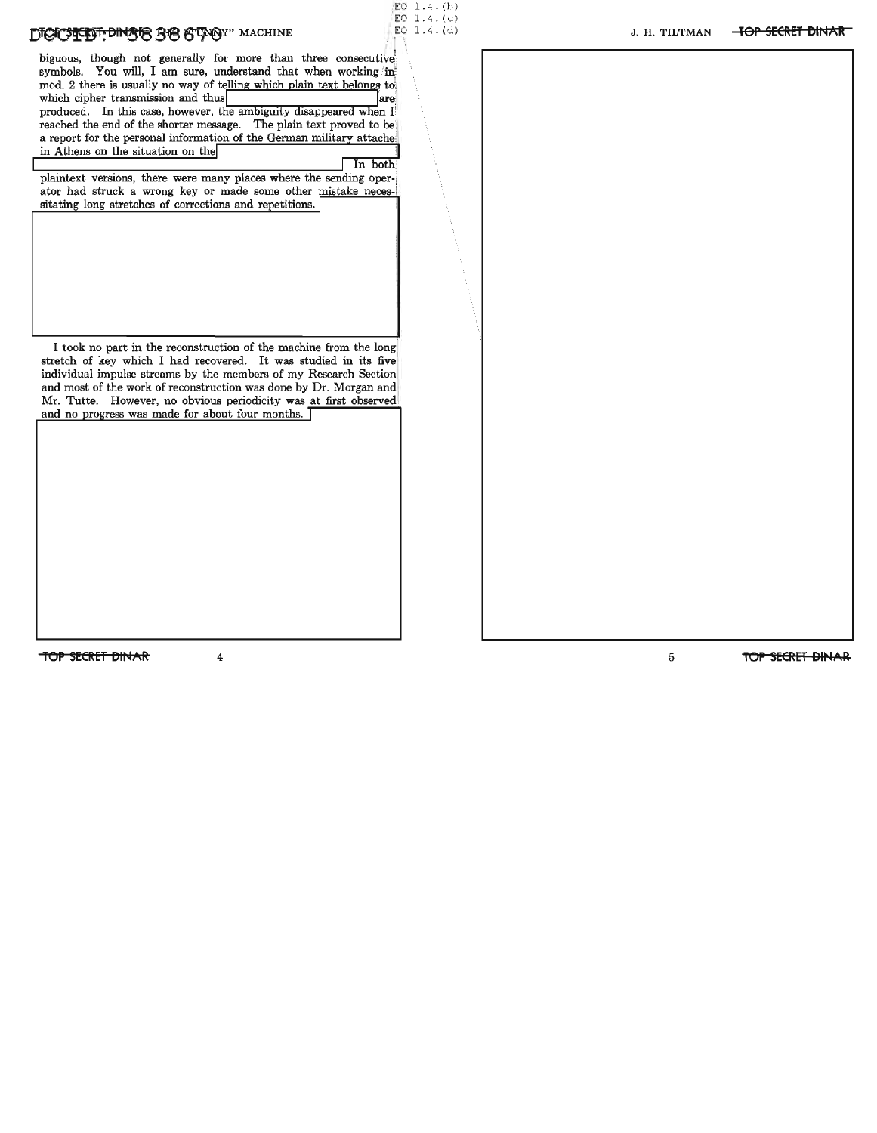### DIGICSTEDT: DINGER BE STAGY" MACHINE

biguous, though not generally for more than three consecutive, symbols. You will, I am sure, understand that when working in mod. 2 there is usually no way of telling which plain text belongs to which cipher transmission and thus  $\vert$  are  $\vert$ produced. In this case, however, the ambiguity disappeared when I reached the end of the shorter message. The plain text proved to be a report for the personal information of the German military attache in Athens on the situation on the

 $ED 1.4. (b)$  $ED 1.4. (c) \nEO 1.4. (d)$ 

In both plaintext versions, there were many places where the sending operator had struck a wrong key or made some other mistake necessitating long stretches of corrections and repetitions. **I**

I took no part in the reconstruction of the machine from the long stretch of key which I had recovered. It was studied in its five individual impulse streams by the members of my Research Section and most of the work of reconstruction was done by Dr. Morgan and Mr. Tutte. However, no obvious periodicity was at first observed and no progress was made for about four months.  $\overline{\phantom{a}}$ 

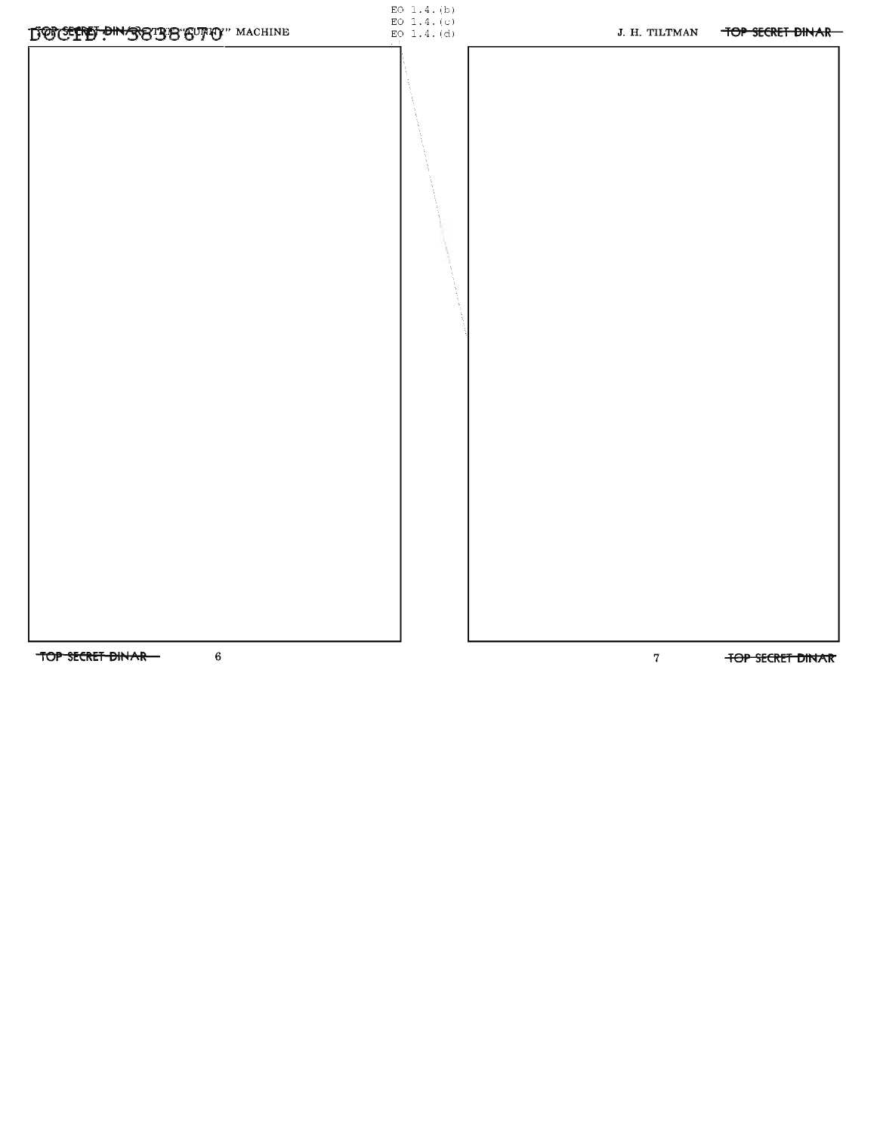

TOP SECRET DINAR-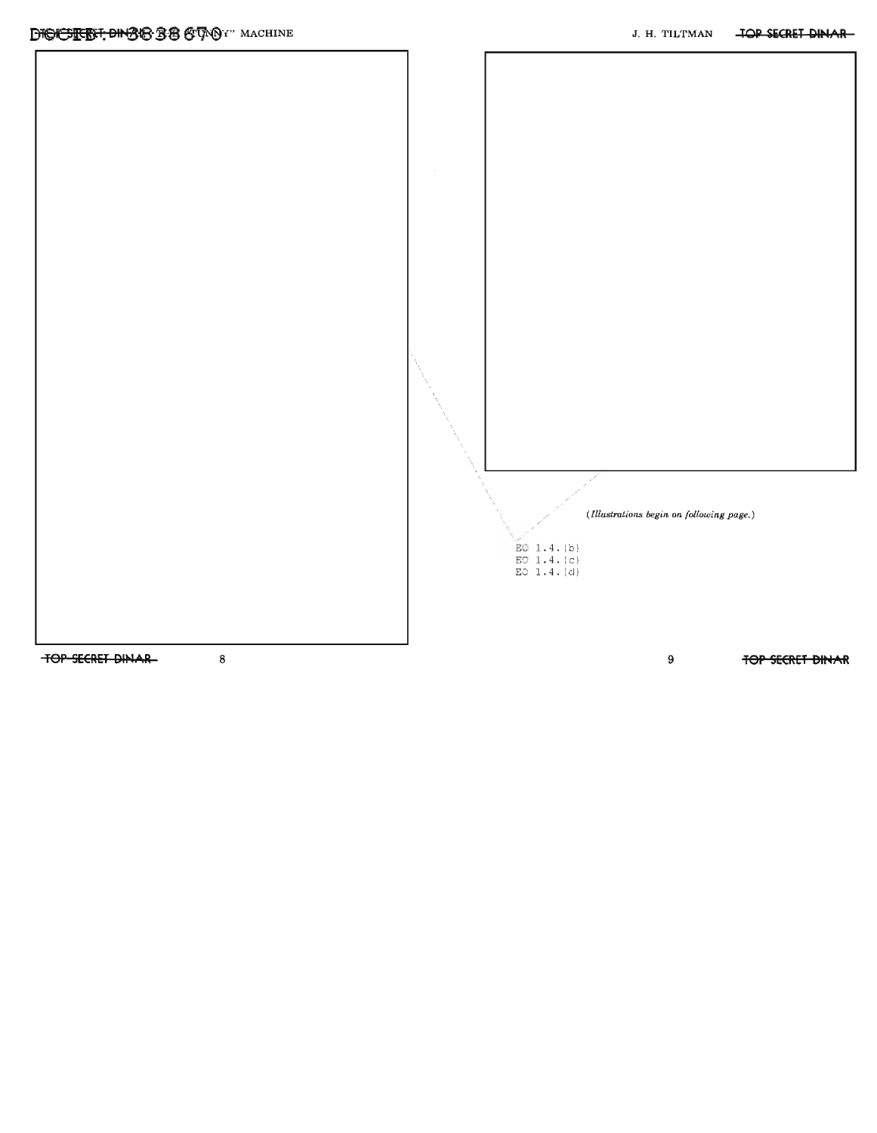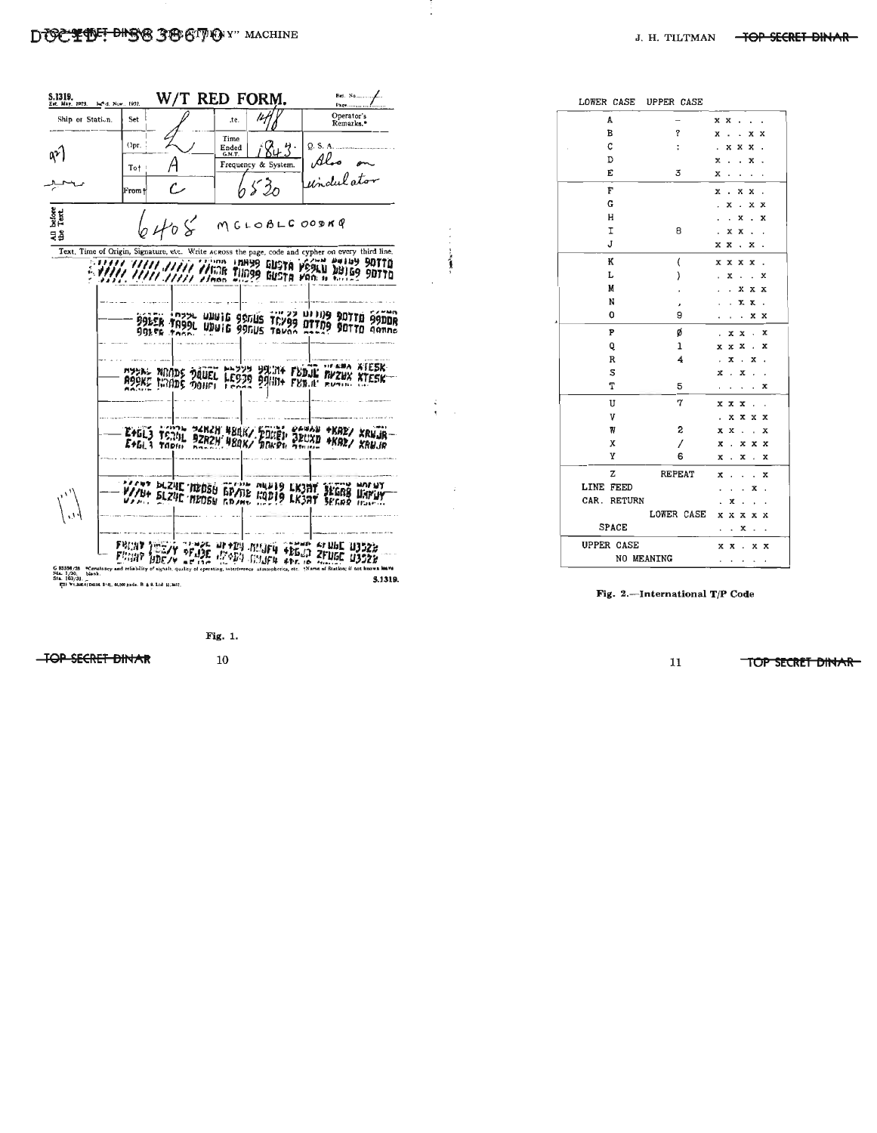#### DESCRIPT DISCS 3 B CT ON Y" MACHINE



| LOWER CASE UPPER CASE |                          |                |                      |                      |                      |                           |
|-----------------------|--------------------------|----------------|----------------------|----------------------|----------------------|---------------------------|
| A                     | $\overline{\phantom{0}}$ | x x            |                      |                      |                      | $\overline{a}$            |
| в                     | q                        | X              |                      |                      | x                    | x                         |
| C                     | $\ddot{\phantom{a}}$     | ï              | x                    | x                    | x                    |                           |
| D                     |                          | x              |                      |                      | x                    |                           |
| E                     | 3                        | x              |                      |                      |                      |                           |
| F                     |                          | x              | $\ddot{\phantom{0}}$ | x                    | x                    | $\ddot{\phantom{a}}$      |
| G                     |                          | ï              | x                    | l,                   | x                    | х                         |
| H                     |                          |                | $\ddot{\phantom{0}}$ | x                    | ï                    | X                         |
| I                     | 8                        |                | x                    | x                    | ï                    | ٠                         |
| J                     |                          | x              | x                    | ٠                    | x                    |                           |
| K                     | $\overline{\mathcal{L}}$ | x              | x                    | x                    | x                    | $\ddot{\phantom{0}}$      |
| L                     | }                        |                | X                    |                      |                      | x                         |
| M                     | ,                        |                |                      | x                    | x                    | x                         |
| N                     | ,                        |                | i.                   | x                    | х                    | ٠                         |
| 0                     | 9                        |                |                      | $\ddot{\phantom{0}}$ | x                    | x                         |
| P                     | ø                        |                | x                    | x                    | $\overline{a}$       | X                         |
| Q                     | ı                        | x              | x                    | x                    |                      | x                         |
| $\mathbb R$           | $\overline{\bf 4}$       | $\overline{a}$ | x                    | ï                    | x                    |                           |
| S                     |                          | x              | ï                    | x                    |                      |                           |
| T                     | 5                        |                |                      |                      |                      | x                         |
| U                     | 7                        | x              | x                    | x                    | ï                    |                           |
| V                     |                          |                | x                    | x                    | x                    | x                         |
| W                     | 2                        | x              | x                    | $\ddot{\phantom{0}}$ |                      | x                         |
| X                     | 1                        | X              | $\overline{a}$       | x                    | x                    | $\boldsymbol{\mathsf{x}}$ |
| Υ                     | 6                        | x              | $\overline{a}$       | x                    | J.                   | x                         |
| z                     | <b>REPEAT</b>            | x              |                      |                      | $\ddot{\phantom{0}}$ | x                         |
| <b>LINE FEED</b>      |                          |                |                      |                      | x                    |                           |
| CAR. RETURN           |                          |                | x                    |                      |                      |                           |
|                       | LOWER CASE               | x              | x                    | x                    | x                    | х                         |
| <b>SPACE</b>          |                          |                |                      | X                    |                      |                           |
| <b>UPPER CASE</b>     |                          |                | x x                  | $\ddot{\phantom{a}}$ |                      | x x                       |
| NO MEANING            |                          | ٠              | $\bullet$            | $\cdot$              | ٠                    |                           |

i

 $\ddot{\phantom{a}}$ 

Fig. 2.--International T/P Code

Fig. 1.

**TOP SECRET DINAR** 

 $10$ 

11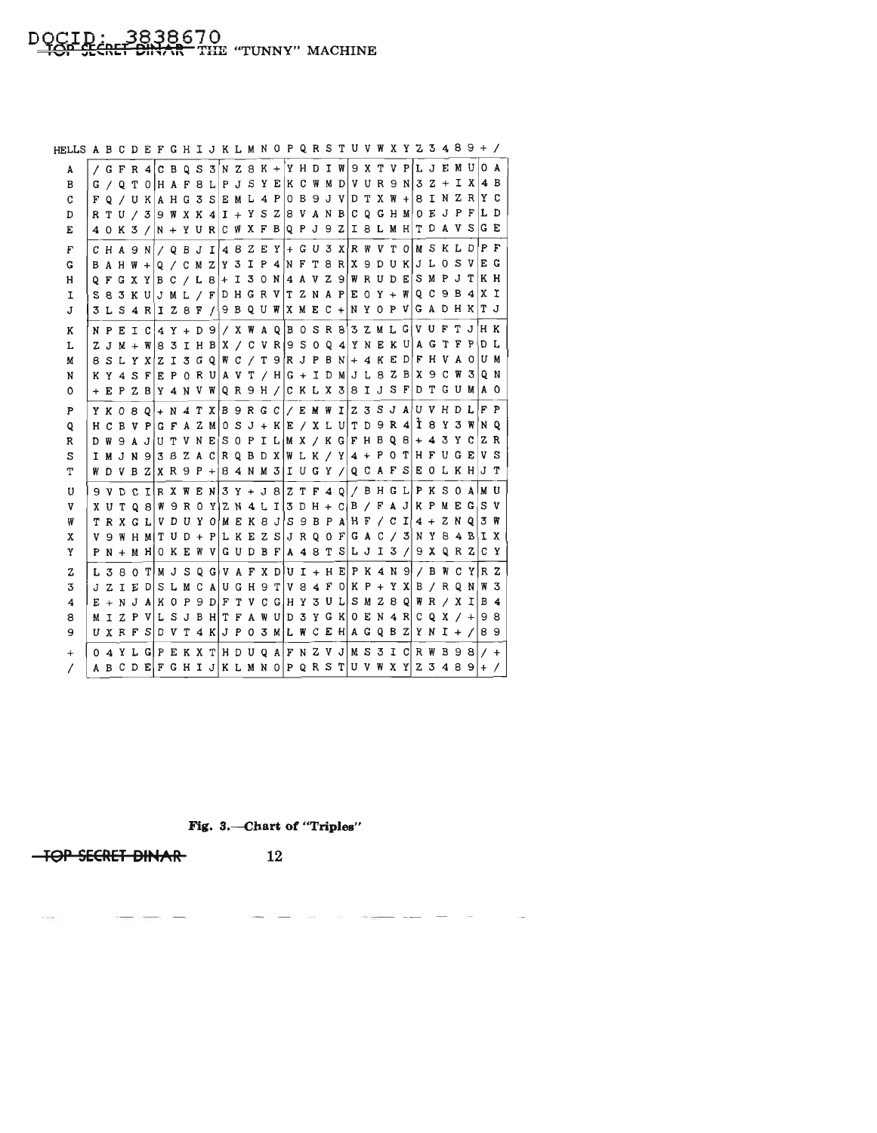# DOCID: 3838670<br><del>TOP SECRET DINAR</del> THE "TUNNY" MACHINE

| HELLS A B C D E F G H I J K L M N O P Q R S T U V W X Y Z 3 4 8 9 + / |  |  |  |  |  |  |  |  |  |  |  |  |  |  |                                                                                                             |                                                                             |
|-----------------------------------------------------------------------|--|--|--|--|--|--|--|--|--|--|--|--|--|--|-------------------------------------------------------------------------------------------------------------|-----------------------------------------------------------------------------|
| А                                                                     |  |  |  |  |  |  |  |  |  |  |  |  |  |  | / G F R 4 C B Q S 3 N Z 8 K + Y H D I W 9 X T V P L J E M U O A                                             |                                                                             |
| в                                                                     |  |  |  |  |  |  |  |  |  |  |  |  |  |  | G / Q T 0  H A F 8 L P J S Y E  K C W M D   V U R 9 N 3 Z + I X 4 B                                         |                                                                             |
| C                                                                     |  |  |  |  |  |  |  |  |  |  |  |  |  |  | $\mathbf{F}\hspace{0.08cm}$ о / u к а н с з ѕ е м г 4 р о в э ј v р т х w + з т н z в т с                   |                                                                             |
| D                                                                     |  |  |  |  |  |  |  |  |  |  |  |  |  |  | RTU / 3 9 W X K 4 I + Y S Z 8 V A N B C Q G H M O E J P F L D                                               |                                                                             |
| Е                                                                     |  |  |  |  |  |  |  |  |  |  |  |  |  |  | $4$ O K 3 /  N + Y U R $ $ C W X F B $ $ Q P J 9 Z   I 8 L M H $ $ T D A V S $ $ G E                        |                                                                             |
| F                                                                     |  |  |  |  |  |  |  |  |  |  |  |  |  |  | C H A 9 N $\mid$ / Q B J I $\mid$ 4 8 Z E Y $\mid$ + G U 3 X R W V T O M S K L D P F                        |                                                                             |
| G                                                                     |  |  |  |  |  |  |  |  |  |  |  |  |  |  | BAHW + Q / C M Z Y 3 I P 4 N F T 8 R X 9 D U K J L O S V E G                                                |                                                                             |
| н                                                                     |  |  |  |  |  |  |  |  |  |  |  |  |  |  | Q F G X Y B C / L 8 + I 3 0 N 4 A V Z 9 W R U D E S M P J T K H                                             |                                                                             |
| 1                                                                     |  |  |  |  |  |  |  |  |  |  |  |  |  |  | S 8 3 K U J M L / F D H G R V T Z N A P E O Y + W Q C 9 B 4 X I                                             |                                                                             |
| J                                                                     |  |  |  |  |  |  |  |  |  |  |  |  |  |  | 3 L S 4 R I Z 8 F / 9 B Q U W X M E C + N Y O P V G A D H K T J                                             |                                                                             |
| к                                                                     |  |  |  |  |  |  |  |  |  |  |  |  |  |  | NPEIC 4 Y + D 9 / X W A Q B O S R 8 3 Z M L G V U F T J H K                                                 |                                                                             |
| L                                                                     |  |  |  |  |  |  |  |  |  |  |  |  |  |  | Z J M + W $\mid$ 8 3 I H B $\mid$ X $/$ C V R $\mid$ 9 S 0 Q 4 $\mid$ Y N E K U $\mid$ A G T F P $\mid$ D L |                                                                             |
| M                                                                     |  |  |  |  |  |  |  |  |  |  |  |  |  |  | $8$ S L Y X Z I 3 G Q W C / T 9 R J P B N $ +$ 4 K E D F H V A O U M                                        |                                                                             |
| N                                                                     |  |  |  |  |  |  |  |  |  |  |  |  |  |  | KY4SFEPORUAVT/HG+IDMJL8ZBX9CW3QN                                                                            |                                                                             |
| 0                                                                     |  |  |  |  |  |  |  |  |  |  |  |  |  |  | + E P Z B Y 4 N V W Q R 9 H / C K L X 3 8 I J S F D T G U M A O                                             |                                                                             |
| P                                                                     |  |  |  |  |  |  |  |  |  |  |  |  |  |  | Y K O 8 Q + N 4 T X B 9 R G C   / E M W I Z 3 S J A U V H D L F P                                           |                                                                             |
| Q                                                                     |  |  |  |  |  |  |  |  |  |  |  |  |  |  | H C B V P G F A Z M O S J + K E / X L U T D 9 R 4 I 8 Y 3 W N Q                                             |                                                                             |
| R                                                                     |  |  |  |  |  |  |  |  |  |  |  |  |  |  | D W 9 A J U T V N E S O P I L M X / K G F H B Q 8 + 4 3 Y C Z R                                             |                                                                             |
| S                                                                     |  |  |  |  |  |  |  |  |  |  |  |  |  |  | I M J N 9 3 8 Z A C R Q B D X W L K / Y 4 + P 0 T H F U G E V S                                             |                                                                             |
| т                                                                     |  |  |  |  |  |  |  |  |  |  |  |  |  |  | W D V B Z X R 9 P + B 4 N M 3 I U G Y / Q C A F S E O L K H J T                                             |                                                                             |
| U                                                                     |  |  |  |  |  |  |  |  |  |  |  |  |  |  | $9$ V D C I R X W E N $3$ Y + J 8 $\mid$ Z T F 4 Q $\mid$ / B H G L P K S 0 A M U                           |                                                                             |
| v                                                                     |  |  |  |  |  |  |  |  |  |  |  |  |  |  | X U T Q 8 W 9 R 0 Y Z N 4 L I 3 D H + C B / F A J K P M E G S V                                             |                                                                             |
| ₩                                                                     |  |  |  |  |  |  |  |  |  |  |  |  |  |  | T R X G L V D U Y O M E K 8 J S 9 B P A H F / C I 4 + Z N Q 3 W                                             |                                                                             |
| x                                                                     |  |  |  |  |  |  |  |  |  |  |  |  |  |  |                                                                                                             | V 9 W H M T U D + P L K E Z S J R Q O F G A C / 3 N Y 8 4 B I X             |
| Y                                                                     |  |  |  |  |  |  |  |  |  |  |  |  |  |  |                                                                                                             | $P N + M H$   O K E W V G U D B F   A 4 8 T S   L J I 3 /   9 X Q R Z   C Y |
| z                                                                     |  |  |  |  |  |  |  |  |  |  |  |  |  |  |                                                                                                             | L 3 8 0 T M J S Q G V A F X D U I + H E P K 4 N 9 / B W C Y R Z             |
| 3                                                                     |  |  |  |  |  |  |  |  |  |  |  |  |  |  |                                                                                                             | J Z I E D S L M C A U G H 9 T V 8 4 F O K P + Y X B / R Q N W 3             |
| 4                                                                     |  |  |  |  |  |  |  |  |  |  |  |  |  |  | $E + N J A K O P 9 D F T V C G H Y 3 U L S M Z B Q W R / X I B 4$                                           |                                                                             |
| 8                                                                     |  |  |  |  |  |  |  |  |  |  |  |  |  |  | M I Z P V L S J B H T F A W U D 3 Y G K O E N 4 R C Q X / $+$ 9 8                                           |                                                                             |
| 9                                                                     |  |  |  |  |  |  |  |  |  |  |  |  |  |  | U X R F S O V T 4 K J P O 3 M L W C E H A G Q B Z Y N I + / 8 9                                             |                                                                             |
| $^{+}$                                                                |  |  |  |  |  |  |  |  |  |  |  |  |  |  |                                                                                                             | $0.4$ Y L G P E K X T H D U Q A F N Z V J M S 3 I C R W B 9 8 $1/$ +        |
| $\prime$                                                              |  |  |  |  |  |  |  |  |  |  |  |  |  |  |                                                                                                             | A B C D E F G H I J K L M N O P Q R S T U V W X Y Z 3 4 8 9 + /             |

Fig. 3.-Chart of "Triples"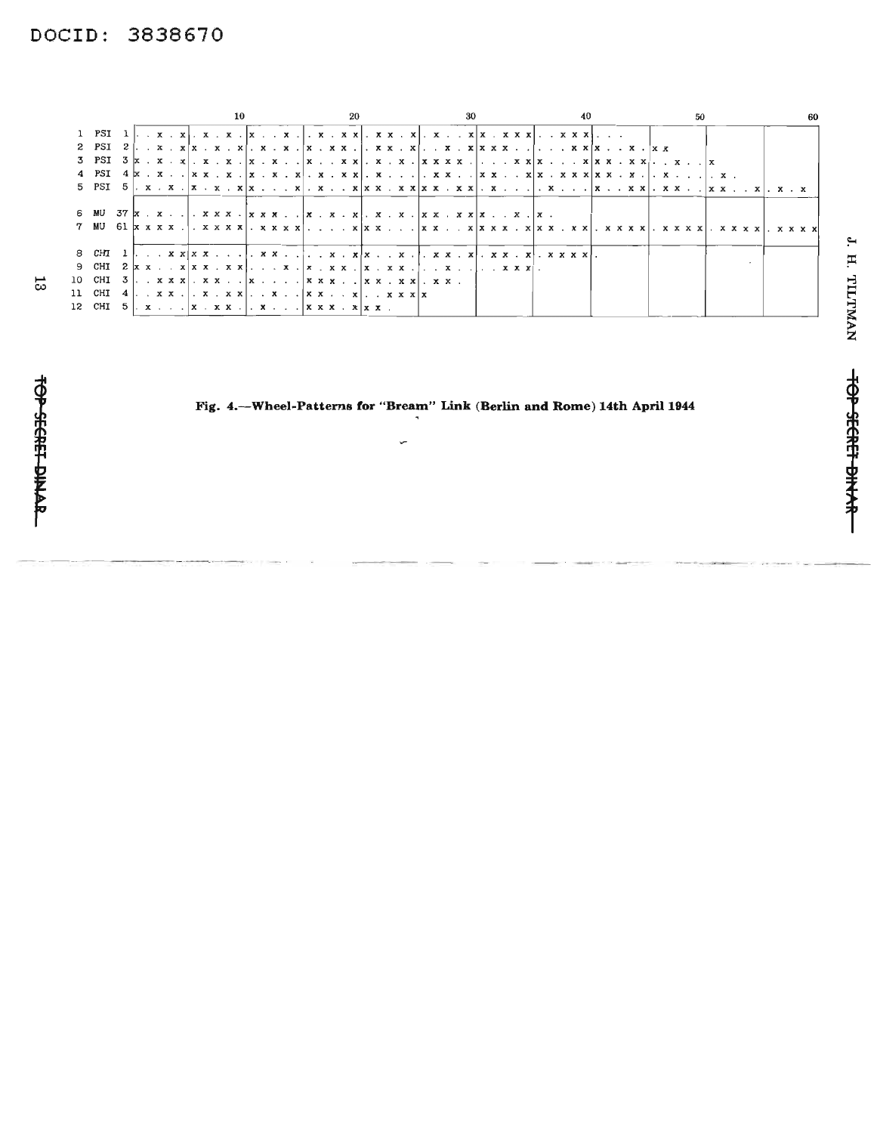# DOCID: 3838670

|    |                                                                                                            |  |  |  |  | -10 |  |  |  | -20 |  |  |  | -30 |  |  |  |  |  |  |  |  | 50 |  |  |  |  |
|----|------------------------------------------------------------------------------------------------------------|--|--|--|--|-----|--|--|--|-----|--|--|--|-----|--|--|--|--|--|--|--|--|----|--|--|--|--|
|    |                                                                                                            |  |  |  |  |     |  |  |  |     |  |  |  |     |  |  |  |  |  |  |  |  |    |  |  |  |  |
|    |                                                                                                            |  |  |  |  |     |  |  |  |     |  |  |  |     |  |  |  |  |  |  |  |  |    |  |  |  |  |
|    |                                                                                                            |  |  |  |  |     |  |  |  |     |  |  |  |     |  |  |  |  |  |  |  |  |    |  |  |  |  |
|    |                                                                                                            |  |  |  |  |     |  |  |  |     |  |  |  |     |  |  |  |  |  |  |  |  |    |  |  |  |  |
|    | 5 PSI 5  . x . x .  x . x . x  x x  . x x  x x . x x  x x . x x  . x  . x  x x x  . x x  x x x  . x x  . x |  |  |  |  |     |  |  |  |     |  |  |  |     |  |  |  |  |  |  |  |  |    |  |  |  |  |
|    |                                                                                                            |  |  |  |  |     |  |  |  |     |  |  |  |     |  |  |  |  |  |  |  |  |    |  |  |  |  |
|    | 6 MU                                                                                                       |  |  |  |  |     |  |  |  |     |  |  |  |     |  |  |  |  |  |  |  |  |    |  |  |  |  |
|    |                                                                                                            |  |  |  |  |     |  |  |  |     |  |  |  |     |  |  |  |  |  |  |  |  |    |  |  |  |  |
|    |                                                                                                            |  |  |  |  |     |  |  |  |     |  |  |  |     |  |  |  |  |  |  |  |  |    |  |  |  |  |
|    |                                                                                                            |  |  |  |  |     |  |  |  |     |  |  |  |     |  |  |  |  |  |  |  |  |    |  |  |  |  |
|    |                                                                                                            |  |  |  |  |     |  |  |  |     |  |  |  |     |  |  |  |  |  |  |  |  |    |  |  |  |  |
| 13 | 10 CHI 3  . . x x x   . x x  x  x x x  x x . x x   . x x .                                                 |  |  |  |  |     |  |  |  |     |  |  |  |     |  |  |  |  |  |  |  |  |    |  |  |  |  |
|    | 11 CHI 4   x x .   x  x   .   x  . x   x x x   x                                                           |  |  |  |  |     |  |  |  |     |  |  |  |     |  |  |  |  |  |  |  |  |    |  |  |  |  |
|    | 12 CHI 5   x   x . x x .   . x   x x x . x   x x .                                                         |  |  |  |  |     |  |  |  |     |  |  |  |     |  |  |  |  |  |  |  |  |    |  |  |  |  |
|    |                                                                                                            |  |  |  |  |     |  |  |  |     |  |  |  |     |  |  |  |  |  |  |  |  |    |  |  |  |  |

## Fig. 4.--Wheel-Patterns for "Bream" Link (Berlin and Rome) 14th April 1944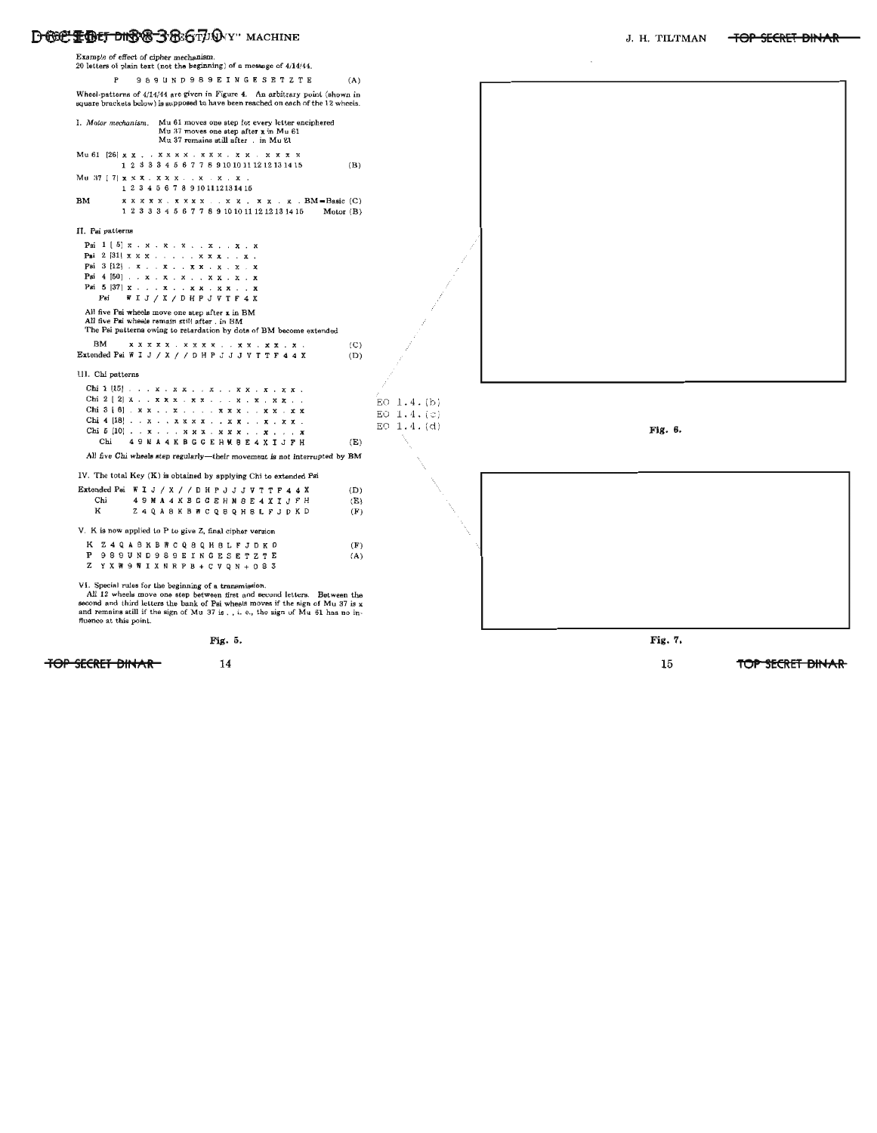

TOP SECRET BINAR 14 14 15 TOP SECRET BINAR 15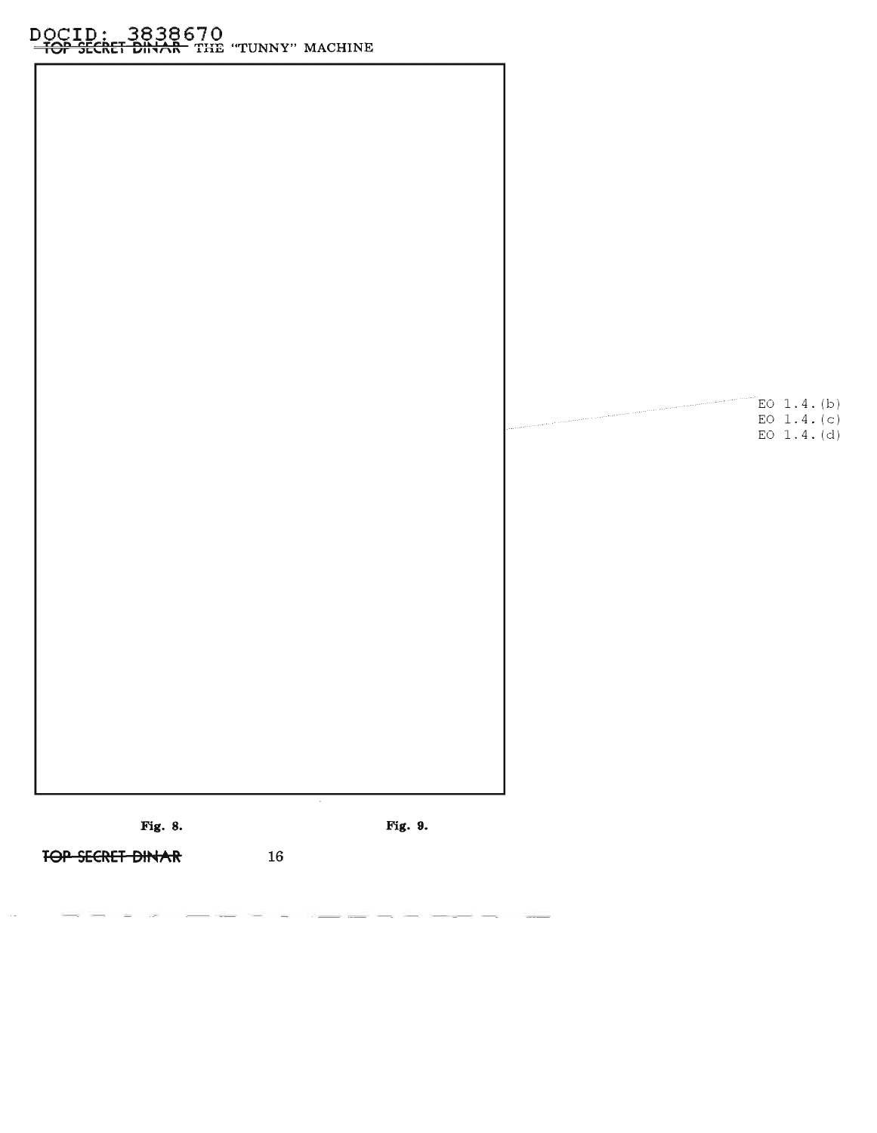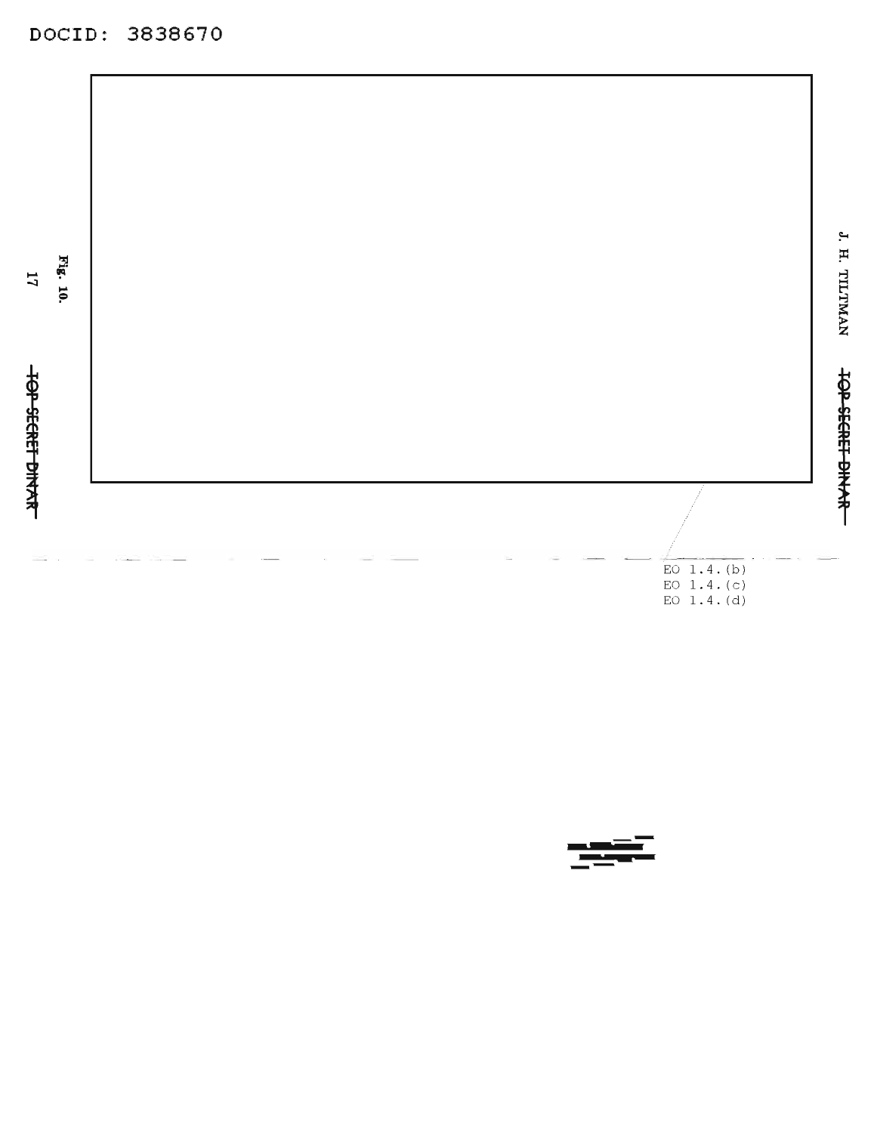DOCID: 3838670



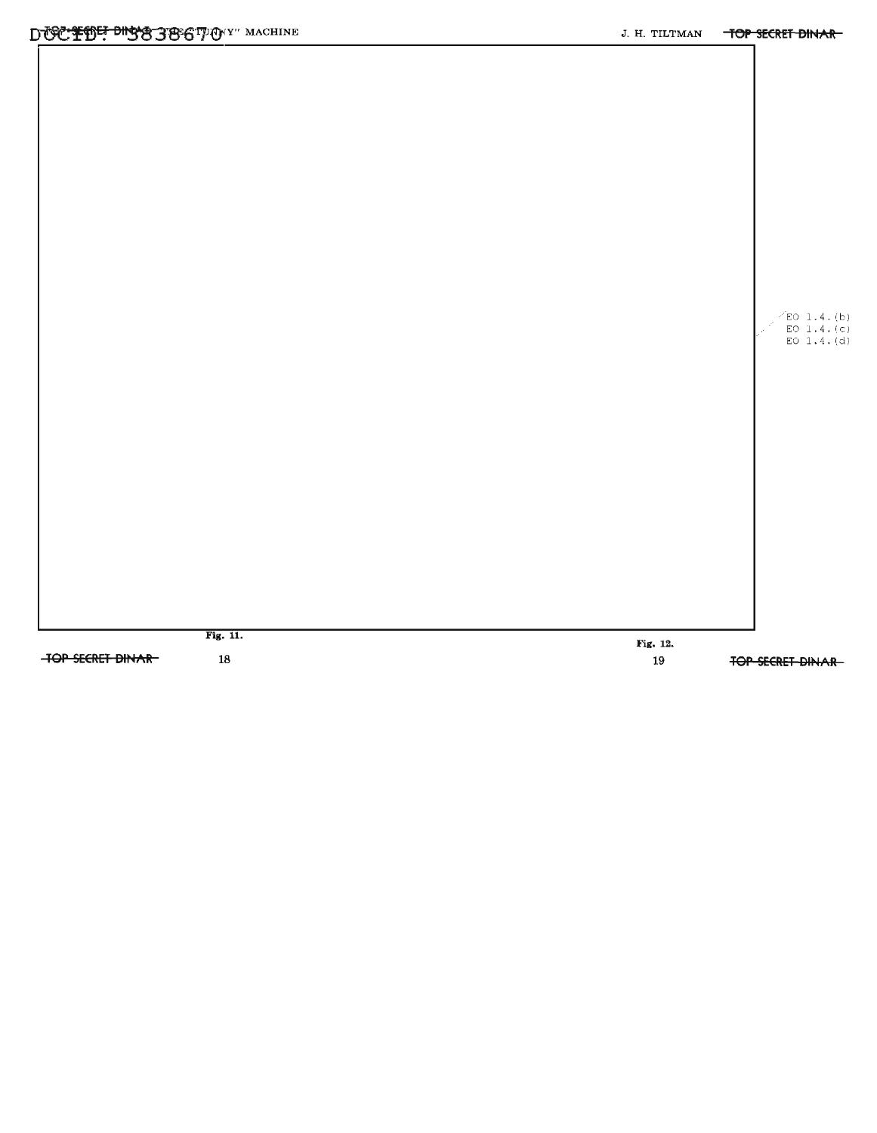

**TOP SECRET DINAR-**

18

Fig. 12. 19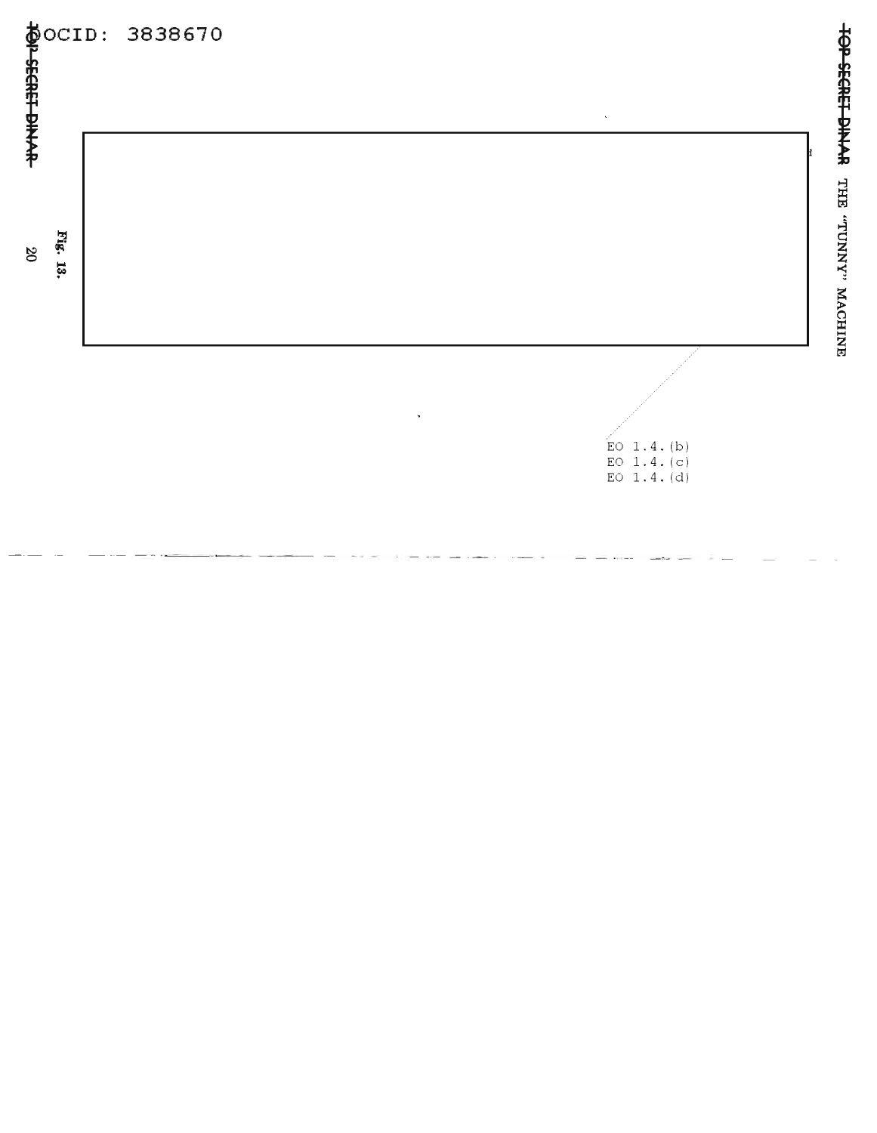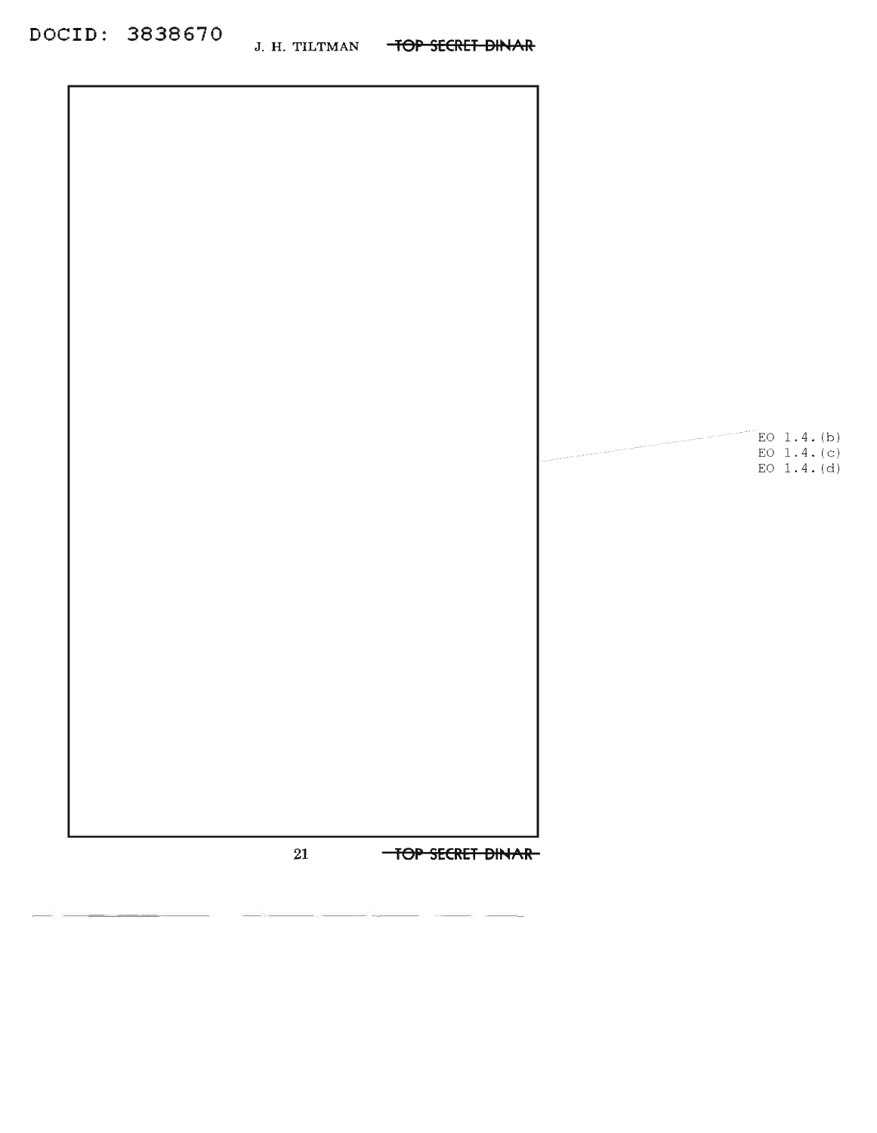

|        |                  | 120000 | E0 1.4. (b)                  |
|--------|------------------|--------|------------------------------|
|        |                  |        | EO $1.4.(c)$<br>EO $1.4.(d)$ |
|        |                  |        |                              |
|        |                  |        |                              |
|        |                  |        |                              |
|        |                  |        |                              |
|        |                  |        |                              |
|        |                  |        |                              |
|        |                  |        |                              |
|        |                  |        |                              |
|        |                  |        |                              |
| $21\,$ | TOP SECRET DINAR |        |                              |

------